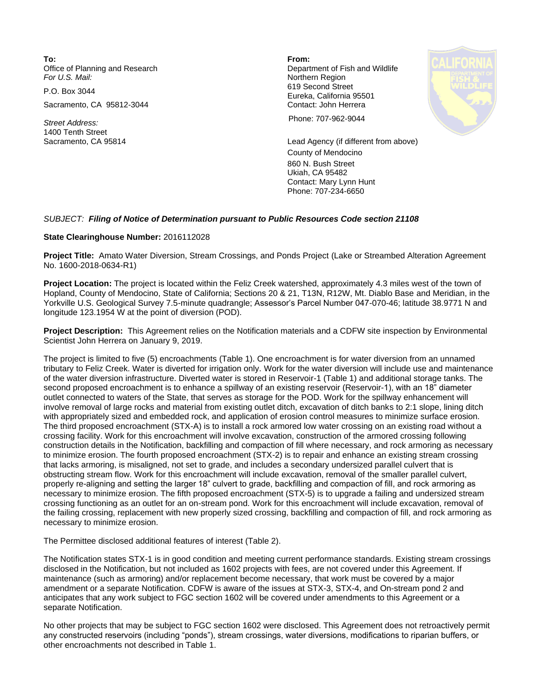**To: From:**  Office of Planning and Research **Department of Fish and Wildlife**<br>
For U.S. Mail: **Department of Fish and Wildlife** 

Sacramento, CA 95812-3044 Contact: John Herrera

1400 Tenth Street

**Northern Region** P.O. Box 3044 619 Second Street Eureka, California 95501



*Street Address:* Phone: 707-962-9044

Sacramento, CA 95814 Lead Agency (if different from above) County of Mendocino 860 N. Bush Street Ukiah, CA 95482 Contact: Mary Lynn Hunt Phone: 707-234-6650

## *SUBJECT: Filing of Notice of Determination pursuant to Public Resources Code section 21108*

## **State Clearinghouse Number:** 2016112028

**Project Title:** Amato Water Diversion, Stream Crossings, and Ponds Project (Lake or Streambed Alteration Agreement No. 1600-2018-0634-R1)

**Project Location:** The project is located within the Feliz Creek watershed, approximately 4.3 miles west of the town of Hopland, County of Mendocino, State of California; Sections 20 & 21, T13N, R12W, Mt. Diablo Base and Meridian, in the Yorkville U.S. Geological Survey 7.5-minute quadrangle; Assessor's Parcel Number 047-070-46; latitude 38.9771 N and longitude 123.1954 W at the point of diversion (POD).

**Project Description:** This Agreement relies on the Notification materials and a CDFW site inspection by Environmental Scientist John Herrera on January 9, 2019.

The project is limited to five (5) encroachments (Table 1). One encroachment is for water diversion from an unnamed tributary to Feliz Creek. Water is diverted for irrigation only. Work for the water diversion will include use and maintenance of the water diversion infrastructure. Diverted water is stored in Reservoir-1 (Table 1) and additional storage tanks. The second proposed encroachment is to enhance a spillway of an existing reservoir (Reservoir-1), with an 18" diameter outlet connected to waters of the State, that serves as storage for the POD. Work for the spillway enhancement will involve removal of large rocks and material from existing outlet ditch, excavation of ditch banks to 2:1 slope, lining ditch with appropriately sized and embedded rock, and application of erosion control measures to minimize surface erosion. The third proposed encroachment (STX-A) is to install a rock armored low water crossing on an existing road without a crossing facility. Work for this encroachment will involve excavation, construction of the armored crossing following construction details in the Notification, backfilling and compaction of fill where necessary, and rock armoring as necessary to minimize erosion. The fourth proposed encroachment (STX-2) is to repair and enhance an existing stream crossing that lacks armoring, is misaligned, not set to grade, and includes a secondary undersized parallel culvert that is obstructing stream flow. Work for this encroachment will include excavation, removal of the smaller parallel culvert, properly re-aligning and setting the larger 18" culvert to grade, backfilling and compaction of fill, and rock armoring as necessary to minimize erosion. The fifth proposed encroachment (STX-5) is to upgrade a failing and undersized stream crossing functioning as an outlet for an on-stream pond. Work for this encroachment will include excavation, removal of the failing crossing, replacement with new properly sized crossing, backfilling and compaction of fill, and rock armoring as necessary to minimize erosion.

The Permittee disclosed additional features of interest (Table 2).

The Notification states STX-1 is in good condition and meeting current performance standards. Existing stream crossings disclosed in the Notification, but not included as 1602 projects with fees, are not covered under this Agreement. If maintenance (such as armoring) and/or replacement become necessary, that work must be covered by a major amendment or a separate Notification. CDFW is aware of the issues at STX-3, STX-4, and On-stream pond 2 and anticipates that any work subject to FGC section 1602 will be covered under amendments to this Agreement or a separate Notification.

No other projects that may be subject to FGC section 1602 were disclosed. This Agreement does not retroactively permit any constructed reservoirs (including "ponds"), stream crossings, water diversions, modifications to riparian buffers, or other encroachments not described in Table 1.